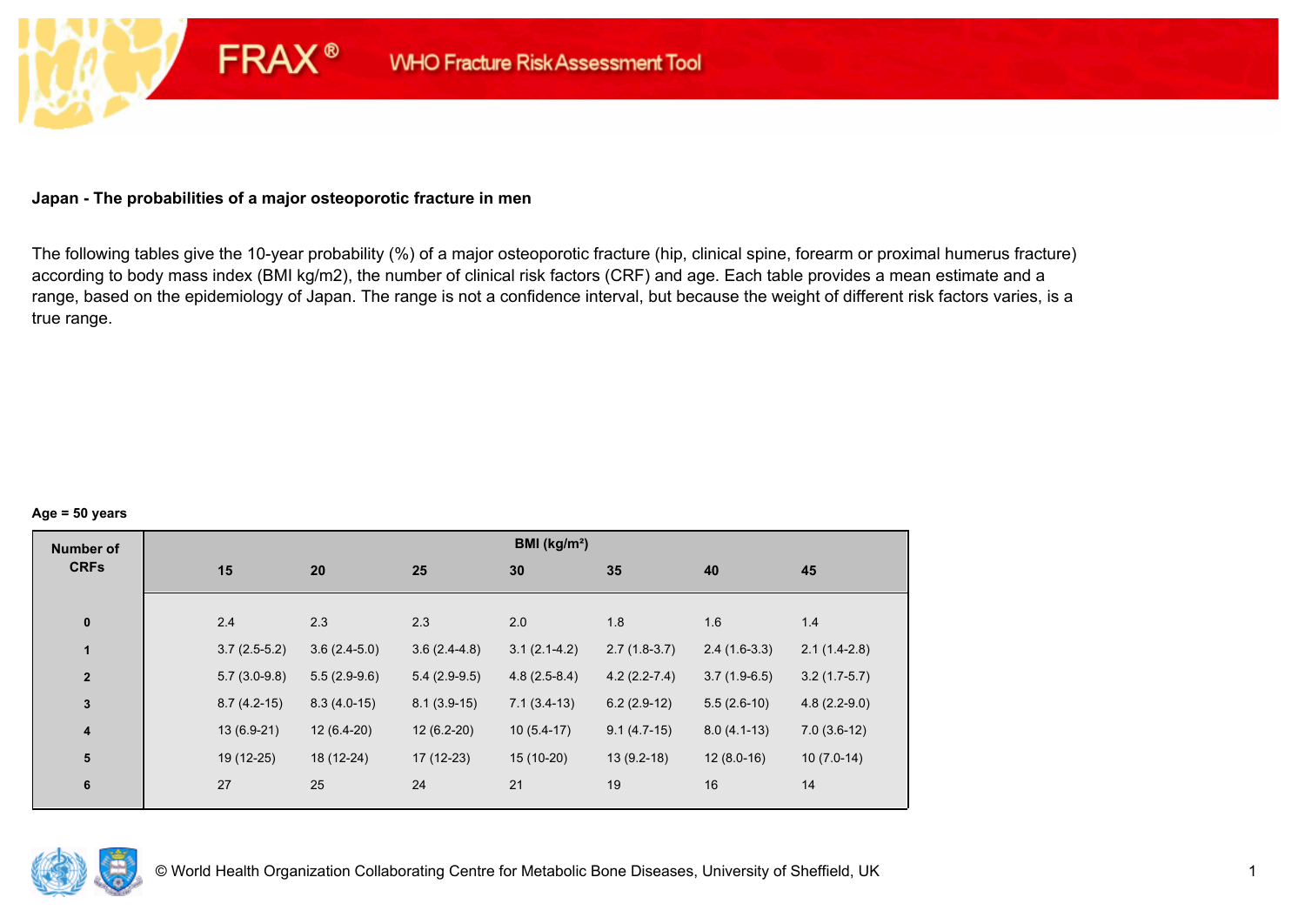## **Japan - The probabilities of a major osteoporotic fracture in men**

**FRAX®** 

The following tables give the 10-year probability (%) of a major osteoporotic fracture (hip, clinical spine, forearm or proximal humerus fracture) according to body mass index (BMI kg/m2), the number of clinical risk factors (CRF) and age. Each table provides a mean estimate and a range, based on the epidemiology of Japan. The range is not a confidence interval, but because the weight of different risk factors varies, is a true range.

#### **Age = 50 years**

| <b>Number of</b> |                |                |                | BMI (kg/m <sup>2</sup> ) |                |                |                |
|------------------|----------------|----------------|----------------|--------------------------|----------------|----------------|----------------|
| <b>CRFs</b>      | 15             | 20             | 25             | 30                       | 35             | 40             | 45             |
|                  |                |                |                |                          |                |                |                |
| $\pmb{0}$        | 2.4            | 2.3            | 2.3            | 2.0                      | 1.8            | 1.6            | 1.4            |
| $\mathbf{1}$     | $3.7(2.5-5.2)$ | $3.6(2.4-5.0)$ | $3.6(2.4-4.8)$ | $3.1(2.1-4.2)$           | $2.7(1.8-3.7)$ | $2.4(1.6-3.3)$ | $2.1(1.4-2.8)$ |
| $\mathbf{2}$     | $5.7(3.0-9.8)$ | $5.5(2.9-9.6)$ | $5.4(2.9-9.5)$ | $4.8(2.5-8.4)$           | $4.2(2.2-7.4)$ | $3.7(1.9-6.5)$ | $3.2(1.7-5.7)$ |
| $\mathbf{3}$     | $8.7(4.2-15)$  | $8.3(4.0-15)$  | $8.1(3.9-15)$  | $7.1(3.4-13)$            | $6.2(2.9-12)$  | $5.5(2.6-10)$  | $4.8(2.2-9.0)$ |
| $\boldsymbol{4}$ | $13(6.9-21)$   | $12(6.4-20)$   | $12(6.2-20)$   | $10(5.4-17)$             | $9.1(4.7-15)$  | $8.0(4.1-13)$  | $7.0(3.6-12)$  |
| 5                | 19 (12-25)     | 18 (12-24)     | $17(12-23)$    | $15(10-20)$              | $13(9.2-18)$   | $12(8.0-16)$   | $10(7.0-14)$   |
| $\bf 6$          | 27             | 25             | 24             | 21                       | 19             | 16             | 14             |
|                  |                |                |                |                          |                |                |                |

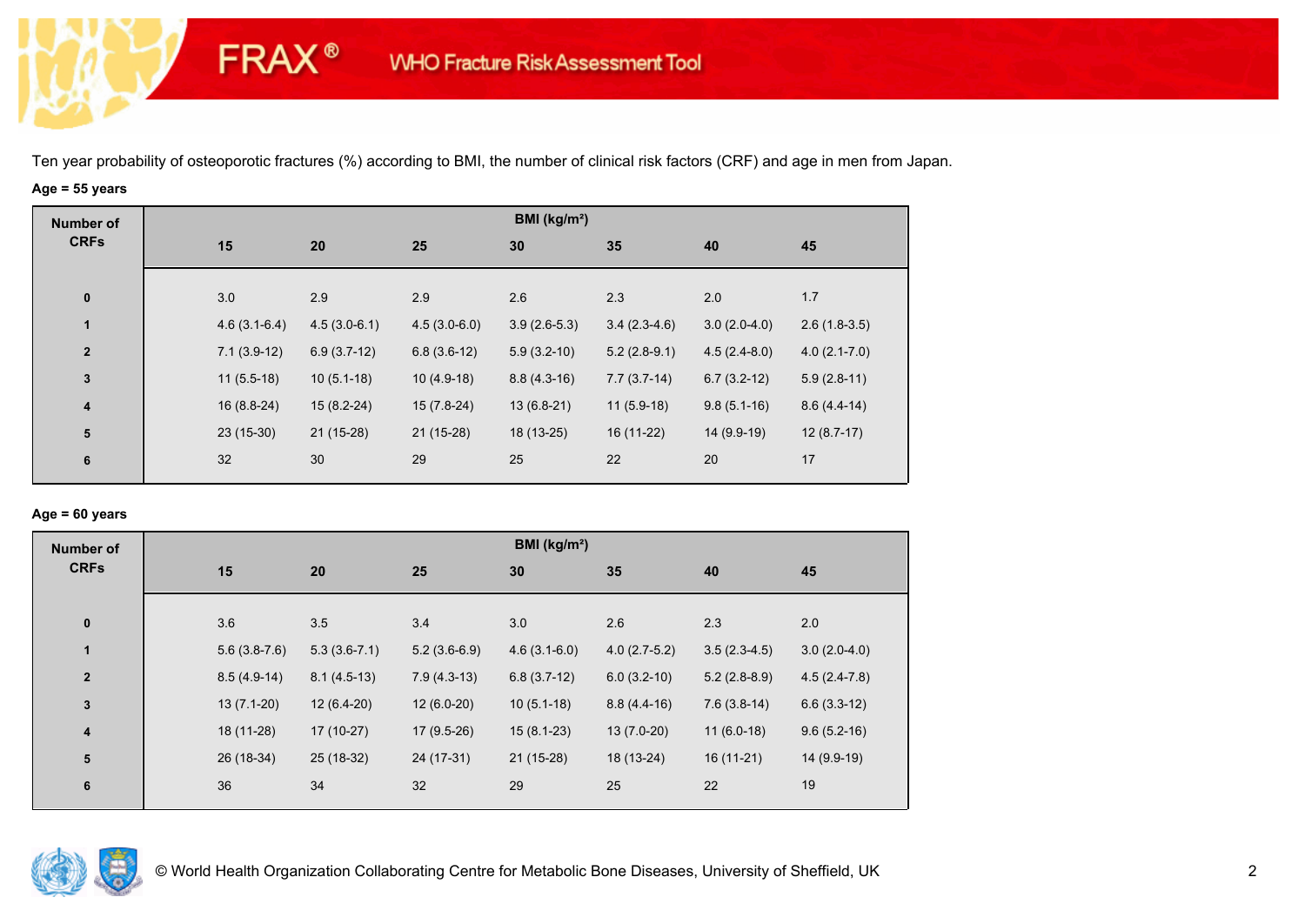# **Age = 55 years**

**FRAX®** 

| <b>Number of</b> |                |                |                | BMI ( $kg/m2$ ) |                |                |                  |
|------------------|----------------|----------------|----------------|-----------------|----------------|----------------|------------------|
| <b>CRFs</b>      | 15             | 20             | 25             | 30              | 35             | 40             | 45               |
| $\bf{0}$         | 3.0            | 2.9            | 2.9            | 2.6             | 2.3            | 2.0            | 1.7              |
|                  |                |                |                |                 |                |                |                  |
| $\mathbf{1}$     | $4.6(3.1-6.4)$ | $4.5(3.0-6.1)$ | $4.5(3.0-6.0)$ | $3.9(2.6-5.3)$  | $3.4(2.3-4.6)$ | $3.0(2.0-4.0)$ | $2.6(1.8-3.5)$   |
| $\overline{2}$   | $7.1(3.9-12)$  | $6.9(3.7-12)$  | $6.8(3.6-12)$  | $5.9(3.2-10)$   | $5.2(2.8-9.1)$ | $4.5(2.4-8.0)$ | $4.0(2.1 - 7.0)$ |
| $\mathbf 3$      | $11(5.5-18)$   | $10(5.1-18)$   | $10(4.9-18)$   | $8.8(4.3-16)$   | $7.7(3.7-14)$  | $6.7(3.2-12)$  | $5.9(2.8-11)$    |
| 4                | $16(8.8-24)$   | $15(8.2-24)$   | $15(7.8-24)$   | $13(6.8-21)$    | $11(5.9-18)$   | $9.8(5.1-16)$  | $8.6(4.4-14)$    |
| ${\bf 5}$        | $23(15-30)$    | $21(15-28)$    | $21(15-28)$    | 18 (13-25)      | 16 (11-22)     | 14 (9.9-19)    | $12(8.7-17)$     |
| 6                | 32             | 30             | 29             | 25              | 22             | 20             | 17               |

## **Age = 60 years**

| <b>Number of</b>        |                |                |                | BMI (kg/m <sup>2</sup> ) |                |                |                |
|-------------------------|----------------|----------------|----------------|--------------------------|----------------|----------------|----------------|
| <b>CRFs</b>             | 15             | 20             | 25             | 30                       | 35             | 40             | 45             |
| $\pmb{0}$               | 3.6            | 3.5            | 3.4            | 3.0                      | 2.6            | 2.3            | 2.0            |
| 1                       | $5.6(3.8-7.6)$ | $5.3(3.6-7.1)$ | $5.2(3.6-6.9)$ | $4.6(3.1-6.0)$           | $4.0(2.7-5.2)$ | $3.5(2.3-4.5)$ | $3.0(2.0-4.0)$ |
| $\overline{2}$          | $8.5(4.9-14)$  | $8.1(4.5-13)$  | $7.9(4.3-13)$  | $6.8(3.7-12)$            | $6.0(3.2-10)$  | $5.2(2.8-8.9)$ | $4.5(2.4-7.8)$ |
| $\mathbf 3$             | $13(7.1-20)$   | $12(6.4-20)$   | $12(6.0-20)$   | $10(5.1-18)$             | $8.8(4.4-16)$  | $7.6(3.8-14)$  | $6.6(3.3-12)$  |
| $\overline{\mathbf{4}}$ | 18 (11-28)     | $17(10-27)$    | $17(9.5-26)$   | $15(8.1-23)$             | $13(7.0-20)$   | $11(6.0-18)$   | $9.6(5.2-16)$  |
| ${\bf 5}$               | 26 (18-34)     | 25 (18-32)     | 24 (17-31)     | $21(15-28)$              | 18 (13-24)     | $16(11-21)$    | 14 (9.9-19)    |
| 6                       | 36             | 34             | 32             | 29                       | 25             | 22             | 19             |

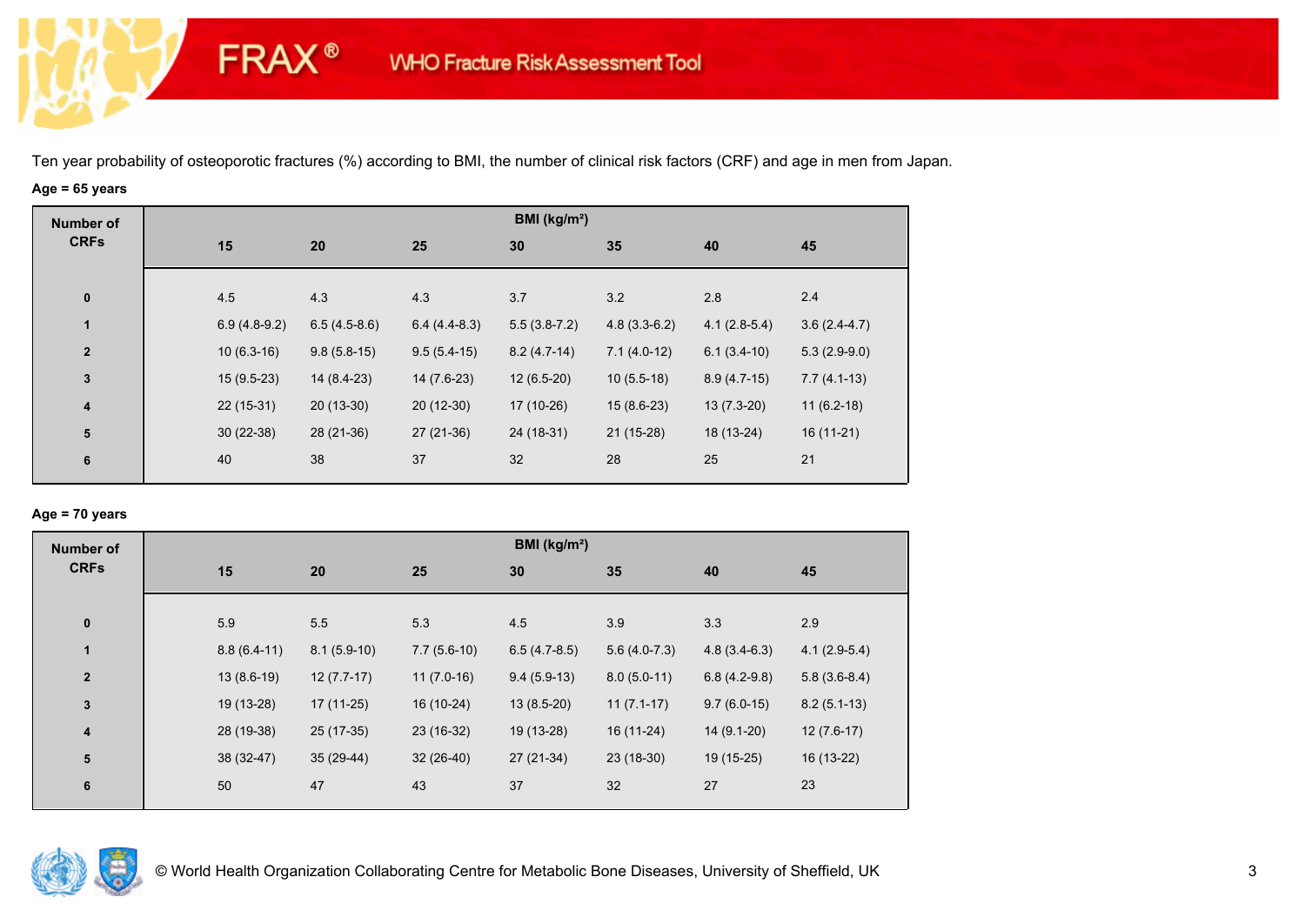# **Age = 65 years**

**FRAX®** 

| <b>Number of</b> |                |                |                | BMI ( $kg/m2$ ) |                |                |                |
|------------------|----------------|----------------|----------------|-----------------|----------------|----------------|----------------|
| <b>CRFs</b>      | 15             | 20             | 25             | 30              | 35             | 40             | 45             |
|                  |                |                |                |                 |                |                |                |
| $\bf{0}$         | 4.5            | 4.3            | 4.3            | 3.7             | 3.2            | 2.8            | 2.4            |
| $\mathbf{1}$     | $6.9(4.8-9.2)$ | $6.5(4.5-8.6)$ | $6.4(4.4-8.3)$ | $5.5(3.8-7.2)$  | $4.8(3.3-6.2)$ | $4.1(2.8-5.4)$ | $3.6(2.4-4.7)$ |
| $\overline{2}$   | $10(6.3-16)$   | $9.8(5.8-15)$  | $9.5(5.4-15)$  | $8.2(4.7-14)$   | $7.1(4.0-12)$  | $6.1(3.4-10)$  | $5.3(2.9-9.0)$ |
| $\mathbf 3$      | $15(9.5-23)$   | 14 (8.4-23)    | $14(7.6-23)$   | $12(6.5-20)$    | $10(5.5-18)$   | $8.9(4.7-15)$  | $7.7(4.1-13)$  |
| 4                | $22(15-31)$    | $20(13-30)$    | $20(12-30)$    | 17 (10-26)      | $15(8.6-23)$   | $13(7.3-20)$   | $11(6.2-18)$   |
| ${\bf 5}$        | $30(22-38)$    | 28 (21-36)     | $27(21-36)$    | 24 (18-31)      | $21(15-28)$    | 18 (13-24)     | $16(11-21)$    |
| 6                | 40             | 38             | 37             | 32              | 28             | 25             | 21             |
|                  |                |                |                |                 |                |                |                |

## **Age = 70 years**

| <b>Number of</b> |               |               |               | BMI ( $kg/m2$ ) |                |                |                |
|------------------|---------------|---------------|---------------|-----------------|----------------|----------------|----------------|
| <b>CRFs</b>      | 15            | 20            | 25            | 30              | 35             | 40             | 45             |
|                  |               |               |               |                 |                |                |                |
| $\pmb{0}$        | 5.9           | 5.5           | 5.3           | 4.5             | 3.9            | 3.3            | 2.9            |
| $\mathbf{1}$     | $8.8(6.4-11)$ | $8.1(5.9-10)$ | $7.7(5.6-10)$ | $6.5(4.7-8.5)$  | $5.6(4.0-7.3)$ | $4.8(3.4-6.3)$ | $4.1(2.9-5.4)$ |
| $\mathbf{2}$     | $13(8.6-19)$  | $12(7.7-17)$  | $11(7.0-16)$  | $9.4(5.9-13)$   | $8.0(5.0-11)$  | $6.8(4.2-9.8)$ | $5.8(3.6-8.4)$ |
| $\mathbf 3$      | 19 (13-28)    | $17(11-25)$   | 16 (10-24)    | $13(8.5-20)$    | $11(7.1-17)$   | $9.7(6.0-15)$  | $8.2(5.1-13)$  |
| 4                | 28 (19-38)    | $25(17-35)$   | 23 (16-32)    | 19 (13-28)      | 16 (11-24)     | 14 (9.1-20)    | $12(7.6-17)$   |
| 5                | 38 (32-47)    | $35(29-44)$   | $32(26-40)$   | 27 (21-34)      | $23(18-30)$    | 19 (15-25)     | 16 (13-22)     |
| 6                | 50            | 47            | 43            | 37              | 32             | 27             | 23             |
|                  |               |               |               |                 |                |                |                |

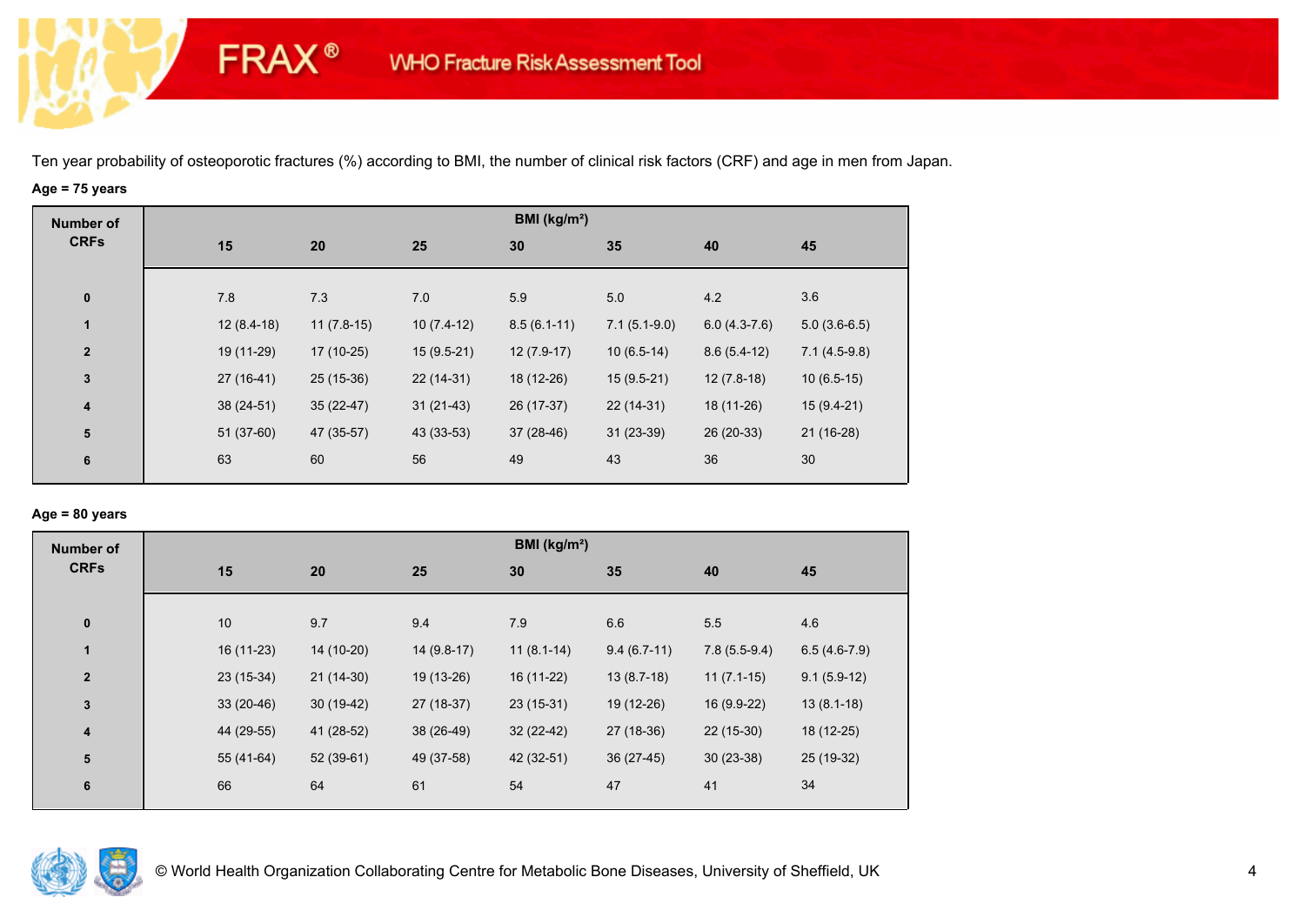# **Age = 75 years**

**FRAX®** 

| <b>Number of</b>        |              |              |              | BMI (kg/m <sup>2</sup> ) |                |                |                |
|-------------------------|--------------|--------------|--------------|--------------------------|----------------|----------------|----------------|
| <b>CRFs</b>             | 15           | 20           | 25           | 30                       | 35             | 40             | 45             |
|                         |              |              |              |                          |                |                |                |
| $\bf{0}$                | 7.8          | 7.3          | 7.0          | 5.9                      | 5.0            | 4.2            | 3.6            |
| $\mathbf{1}$            | $12(8.4-18)$ | $11(7.8-15)$ | $10(7.4-12)$ | $8.5(6.1-11)$            | $7.1(5.1-9.0)$ | $6.0(4.3-7.6)$ | $5.0(3.6-6.5)$ |
| $\mathbf{2}$            | 19 (11-29)   | 17 (10-25)   | $15(9.5-21)$ | $12(7.9-17)$             | $10(6.5-14)$   | $8.6(5.4-12)$  | $7.1(4.5-9.8)$ |
| $\mathbf 3$             | $27(16-41)$  | 25 (15-36)   | 22 (14-31)   | 18 (12-26)               | $15(9.5-21)$   | $12(7.8-18)$   | $10(6.5-15)$   |
| $\overline{\mathbf{4}}$ | $38(24-51)$  | $35(22-47)$  | $31(21-43)$  | 26 (17-37)               | $22(14-31)$    | 18 (11-26)     | $15(9.4-21)$   |
| ${\bf 5}$               | 51 (37-60)   | 47 (35-57)   | 43 (33-53)   | $37(28-46)$              | $31(23-39)$    | 26 (20-33)     | $21(16-28)$    |
| $6\phantom{a}$          | 63           | 60           | 56           | 49                       | 43             | 36             | 30             |
|                         |              |              |              |                          |                |                |                |

## **Age = 80 years**

| <b>Number of</b> |             |             |              | BMI (kg/m <sup>2</sup> ) |               |                |                |
|------------------|-------------|-------------|--------------|--------------------------|---------------|----------------|----------------|
| <b>CRFs</b>      | 15          | 20          | 25           | 30                       | 35            | 40             | 45             |
|                  |             |             |              |                          |               |                |                |
| $\bf{0}$         | 10          | 9.7         | 9.4          | 7.9                      | 6.6           | 5.5            | 4.6            |
| $\mathbf{1}$     | 16 (11-23)  | 14 (10-20)  | $14(9.8-17)$ | $11(8.1-14)$             | $9.4(6.7-11)$ | $7.8(5.5-9.4)$ | $6.5(4.6-7.9)$ |
| $\overline{2}$   | $23(15-34)$ | $21(14-30)$ | 19 (13-26)   | 16 (11-22)               | $13(8.7-18)$  | $11(7.1-15)$   | $9.1(5.9-12)$  |
| $\mathbf{3}$     | $33(20-46)$ | $30(19-42)$ | 27 (18-37)   | $23(15-31)$              | 19 (12-26)    | 16 (9.9-22)    | $13(8.1-18)$   |
| 4                | 44 (29-55)  | 41 (28-52)  | 38 (26-49)   | $32(22-42)$              | 27 (18-36)    | $22(15-30)$    | 18 (12-25)     |
| 5                | 55 (41-64)  | $52(39-61)$ | 49 (37-58)   | 42 (32-51)               | $36(27-45)$   | $30(23-38)$    | 25 (19-32)     |
| $6\phantom{1}6$  | 66          | 64          | 61           | 54                       | 47            | 41             | 34             |
|                  |             |             |              |                          |               |                |                |